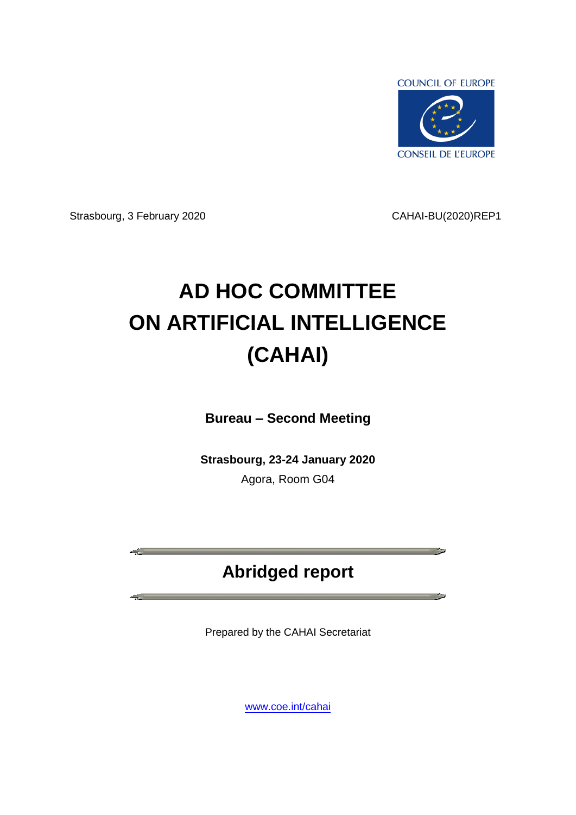

Strasbourg, 3 February 2020 CAHAI-BU(2020)REP1

<u> Alban a shekara ta 1989 a Tar</u>

**State** 

# **AD HOC COMMITTEE ON ARTIFICIAL INTELLIGENCE (CAHAI)**

**Bureau – Second Meeting**

**Strasbourg, 23-24 January 2020** Agora, Room G04

## **Abridged report**

Prepared by the CAHAI Secretariat

[www.coe.int/cahai](http://www.coe.int/cahai)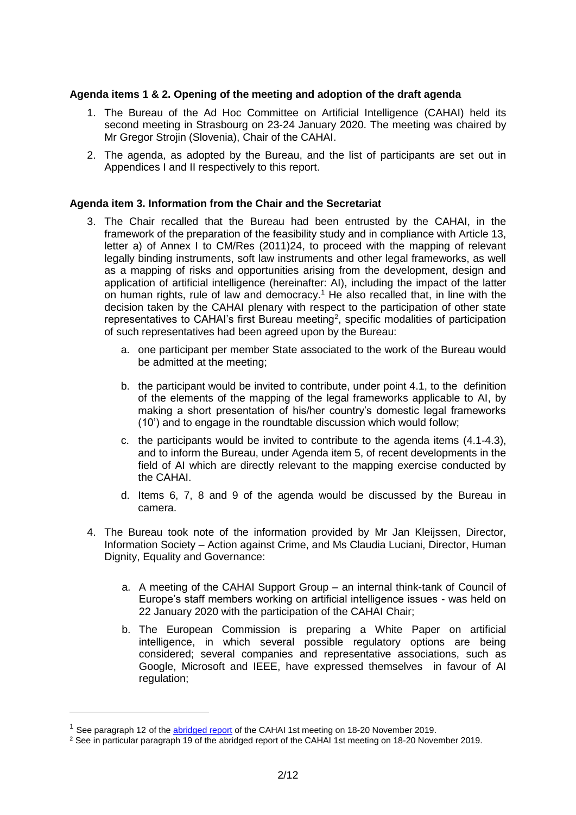### **Agenda items 1 & 2. Opening of the meeting and adoption of the draft agenda**

- 1. The Bureau of the Ad Hoc Committee on Artificial Intelligence (CAHAI) held its second meeting in Strasbourg on 23-24 January 2020. The meeting was chaired by Mr Gregor Strojin (Slovenia), Chair of the CAHAI.
- 2. The agenda, as adopted by the Bureau, and the list of participants are set out in Appendices I and II respectively to this report.

### **Agenda item 3. Information from the Chair and the Secretariat**

- 3. The Chair recalled that the Bureau had been entrusted by the CAHAI, in the framework of the preparation of the feasibility study and in compliance with Article 13, letter a) of Annex I to CM/Res (2011)24, to proceed with the mapping of relevant legally binding instruments, soft law instruments and other legal frameworks, as well as a mapping of risks and opportunities arising from the development, design and application of artificial intelligence (hereinafter: AI), including the impact of the latter on human rights, rule of law and democracy.<sup>1</sup> He also recalled that, in line with the decision taken by the CAHAI plenary with respect to the participation of other state representatives to CAHAI's first Bureau meeting<sup>2</sup>, specific modalities of participation of such representatives had been agreed upon by the Bureau:
	- a. one participant per member State associated to the work of the Bureau would be admitted at the meeting;
	- b. the participant would be invited to contribute, under point 4.1, to the definition of the elements of the mapping of the legal frameworks applicable to AI, by making a short presentation of his/her country's domestic legal frameworks (10') and to engage in the roundtable discussion which would follow;
	- c. the participants would be invited to contribute to the agenda items (4.1-4.3), and to inform the Bureau, under Agenda item 5, of recent developments in the field of AI which are directly relevant to the mapping exercise conducted by the CAHAI.
	- d. Items 6, 7, 8 and 9 of the agenda would be discussed by the Bureau in camera.
- 4. The Bureau took note of the information provided by Mr Jan Kleijssen, Director, Information Society – Action against Crime, and Ms Claudia Luciani, Director, Human Dignity, Equality and Governance:
	- a. A meeting of the CAHAI Support Group an internal think-tank of Council of Europe's staff members working on artificial intelligence issues - was held on 22 January 2020 with the participation of the CAHAI Chair;
	- b. The European Commission is preparing a White Paper on artificial intelligence, in which several possible regulatory options are being considered; several companies and representative associations, such as Google, Microsoft and IEEE, have expressed themselves in favour of AI regulation;

<sup>&</sup>lt;sup>1</sup> See paragraph 12 of the [abridged report](file:///P:/_coe-settings/desktop/CAHAI-BU(2020)REP1%20draft-rev0502fin.docx) of the CAHAI 1st meeting on 18-20 November 2019.

<sup>2</sup> See in particular paragraph 19 of the abridged report of the CAHAI 1st meeting on 18-20 November 2019.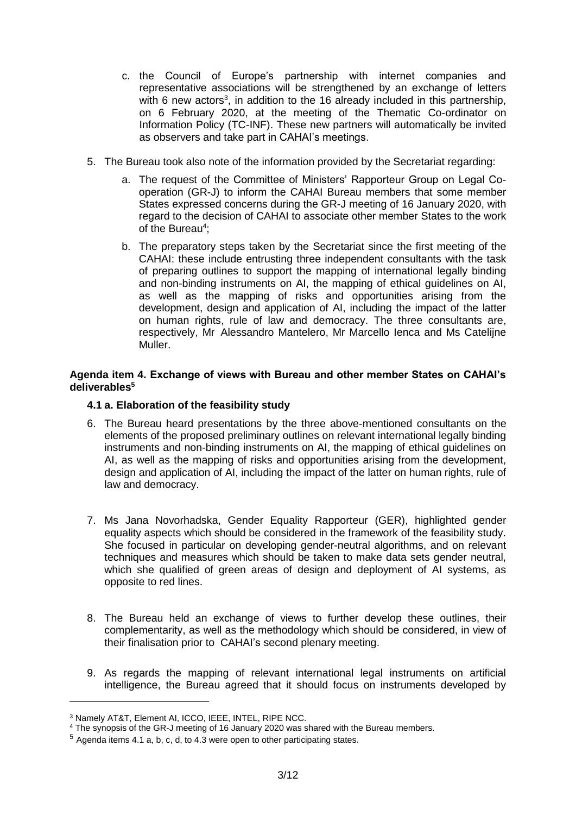- c. the Council of Europe's partnership with internet companies and representative associations will be strengthened by an exchange of letters with 6 new actors<sup>3</sup>, in addition to the 16 already included in this partnership, on 6 February 2020, at the meeting of the Thematic Co-ordinator on Information Policy (TC-INF). These new partners will automatically be invited as observers and take part in CAHAI's meetings.
- 5. The Bureau took also note of the information provided by the Secretariat regarding:
	- a. The request of the Committee of Ministers' Rapporteur Group on Legal Cooperation (GR-J) to inform the CAHAI Bureau members that some member States expressed concerns during the GR-J meeting of 16 January 2020, with regard to the decision of CAHAI to associate other member States to the work of the Bureau<sup>4</sup>;
	- b. The preparatory steps taken by the Secretariat since the first meeting of the CAHAI: these include entrusting three independent consultants with the task of preparing outlines to support the mapping of international legally binding and non-binding instruments on AI, the mapping of ethical guidelines on AI, as well as the mapping of risks and opportunities arising from the development, design and application of AI, including the impact of the latter on human rights, rule of law and democracy. The three consultants are, respectively, Mr\_Alessandro Mantelero, Mr Marcello Ienca and Ms Catelijne Muller.

### **Agenda item 4. Exchange of views with Bureau and other member States on CAHAI's deliverables<sup>5</sup>**

### **4.1 a. Elaboration of the feasibility study**

- 6. The Bureau heard presentations by the three above-mentioned consultants on the elements of the proposed preliminary outlines on relevant international legally binding instruments and non-binding instruments on AI, the mapping of ethical guidelines on AI, as well as the mapping of risks and opportunities arising from the development, design and application of AI, including the impact of the latter on human rights, rule of law and democracy.
- 7. Ms Jana Novorhadska, Gender Equality Rapporteur (GER), highlighted gender equality aspects which should be considered in the framework of the feasibility study. She focused in particular on developing gender-neutral algorithms, and on relevant techniques and measures which should be taken to make data sets gender neutral, which she qualified of green areas of design and deployment of AI systems, as opposite to red lines.
- 8. The Bureau held an exchange of views to further develop these outlines, their complementarity, as well as the methodology which should be considered, in view of their finalisation prior to CAHAI's second plenary meeting.
- 9. As regards the mapping of relevant international legal instruments on artificial intelligence, the Bureau agreed that it should focus on instruments developed by

<sup>3</sup> Namely AT&T, Element AI, ICCO, IEEE, INTEL, RIPE NCC.

<sup>4</sup> The synopsis of the GR-J meeting of 16 January 2020 was shared with the Bureau members.

<sup>5</sup> Agenda items 4.1 a, b, c, d, to 4.3 were open to other participating states.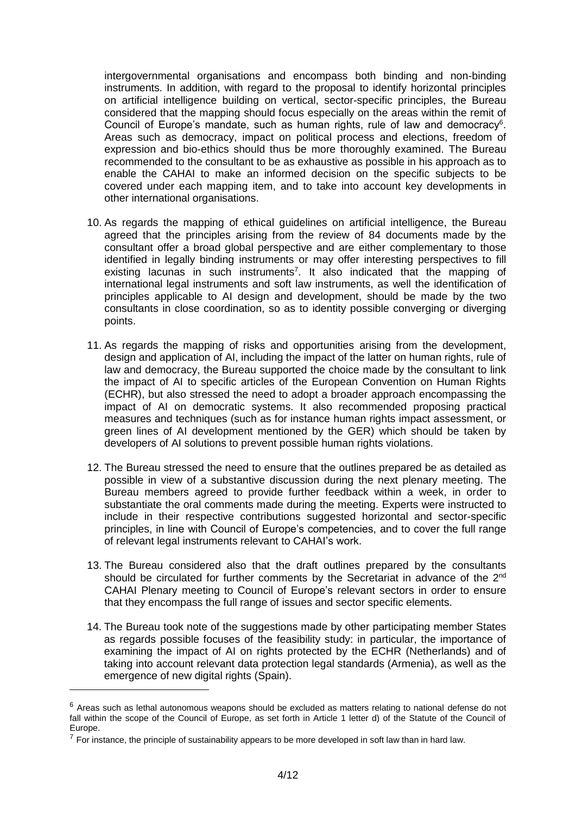intergovernmental organisations and encompass both binding and non-binding instruments. In addition, with regard to the proposal to identify horizontal principles on artificial intelligence building on vertical, sector-specific principles, the Bureau considered that the mapping should focus especially on the areas within the remit of Council of Europe's mandate, such as human rights, rule of law and democracy<sup>6</sup>. Areas such as democracy, impact on political process and elections, freedom of expression and bio-ethics should thus be more thoroughly examined. The Bureau recommended to the consultant to be as exhaustive as possible in his approach as to enable the CAHAI to make an informed decision on the specific subjects to be covered under each mapping item, and to take into account key developments in other international organisations.

- 10. As regards the mapping of ethical guidelines on artificial intelligence, the Bureau agreed that the principles arising from the review of 84 documents made by the consultant offer a broad global perspective and are either complementary to those identified in legally binding instruments or may offer interesting perspectives to fill existing lacunas in such instruments<sup>7</sup>. It also indicated that the mapping of international legal instruments and soft law instruments, as well the identification of principles applicable to AI design and development, should be made by the two consultants in close coordination, so as to identity possible converging or diverging points.
- 11. As regards the mapping of risks and opportunities arising from the development, design and application of AI, including the impact of the latter on human rights, rule of law and democracy, the Bureau supported the choice made by the consultant to link the impact of AI to specific articles of the European Convention on Human Rights (ECHR), but also stressed the need to adopt a broader approach encompassing the impact of AI on democratic systems. It also recommended proposing practical measures and techniques (such as for instance human rights impact assessment, or green lines of AI development mentioned by the GER) which should be taken by developers of AI solutions to prevent possible human rights violations.
- 12. The Bureau stressed the need to ensure that the outlines prepared be as detailed as possible in view of a substantive discussion during the next plenary meeting. The Bureau members agreed to provide further feedback within a week, in order to substantiate the oral comments made during the meeting. Experts were instructed to include in their respective contributions suggested horizontal and sector-specific principles, in line with Council of Europe's competencies, and to cover the full range of relevant legal instruments relevant to CAHAI's work.
- 13. The Bureau considered also that the draft outlines prepared by the consultants should be circulated for further comments by the Secretariat in advance of the  $2^{nd}$ CAHAI Plenary meeting to Council of Europe's relevant sectors in order to ensure that they encompass the full range of issues and sector specific elements.
- 14. The Bureau took note of the suggestions made by other participating member States as regards possible focuses of the feasibility study: in particular, the importance of examining the impact of AI on rights protected by the ECHR (Netherlands) and of taking into account relevant data protection legal standards (Armenia), as well as the emergence of new digital rights (Spain).

 $6$  Areas such as lethal autonomous weapons should be excluded as matters relating to national defense do not fall within the scope of the Council of Europe, as set forth in Article 1 letter d) of the Statute of the Council of Europe.

Edictor.<br><sup>7</sup> For instance, the principle of sustainability appears to be more developed in soft law than in hard law.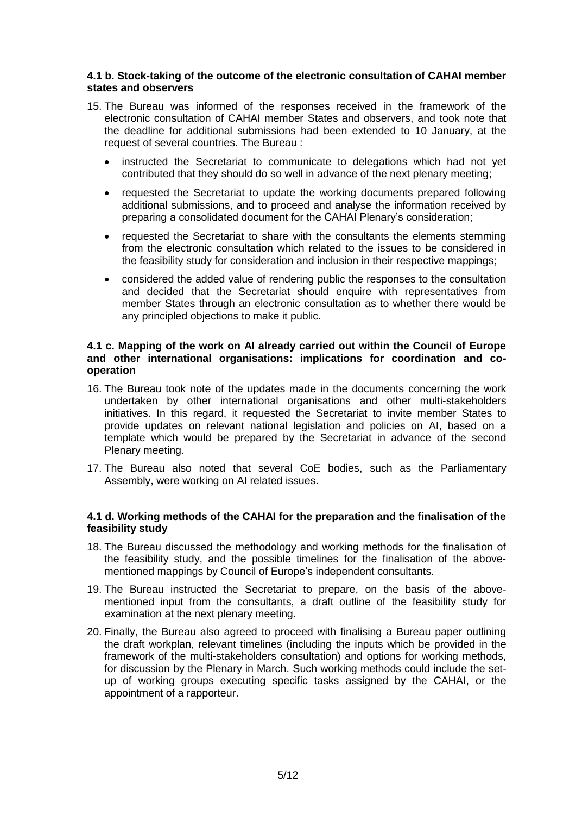### **4.1 b. Stock-taking of the outcome of the electronic consultation of CAHAI member states and observers**

- 15. The Bureau was informed of the responses received in the framework of the electronic consultation of CAHAI member States and observers, and took note that the deadline for additional submissions had been extended to 10 January, at the request of several countries. The Bureau :
	- instructed the Secretariat to communicate to delegations which had not yet contributed that they should do so well in advance of the next plenary meeting;
	- requested the Secretariat to update the working documents prepared following additional submissions, and to proceed and analyse the information received by preparing a consolidated document for the CAHAI Plenary's consideration;
	- requested the Secretariat to share with the consultants the elements stemming from the electronic consultation which related to the issues to be considered in the feasibility study for consideration and inclusion in their respective mappings;
	- considered the added value of rendering public the responses to the consultation and decided that the Secretariat should enquire with representatives from member States through an electronic consultation as to whether there would be any principled objections to make it public.

### **4.1 c. Mapping of the work on AI already carried out within the Council of Europe and other international organisations: implications for coordination and cooperation**

- 16. The Bureau took note of the updates made in the documents concerning the work undertaken by other international organisations and other multi-stakeholders initiatives. In this regard, it requested the Secretariat to invite member States to provide updates on relevant national legislation and policies on AI, based on a template which would be prepared by the Secretariat in advance of the second Plenary meeting.
- 17. The Bureau also noted that several CoE bodies, such as the Parliamentary Assembly, were working on AI related issues.

### **4.1 d. Working methods of the CAHAI for the preparation and the finalisation of the feasibility study**

- 18. The Bureau discussed the methodology and working methods for the finalisation of the feasibility study, and the possible timelines for the finalisation of the abovementioned mappings by Council of Europe's independent consultants.
- 19. The Bureau instructed the Secretariat to prepare, on the basis of the abovementioned input from the consultants, a draft outline of the feasibility study for examination at the next plenary meeting.
- 20. Finally, the Bureau also agreed to proceed with finalising a Bureau paper outlining the draft workplan, relevant timelines (including the inputs which be provided in the framework of the multi-stakeholders consultation) and options for working methods, for discussion by the Plenary in March. Such working methods could include the setup of working groups executing specific tasks assigned by the CAHAI, or the appointment of a rapporteur.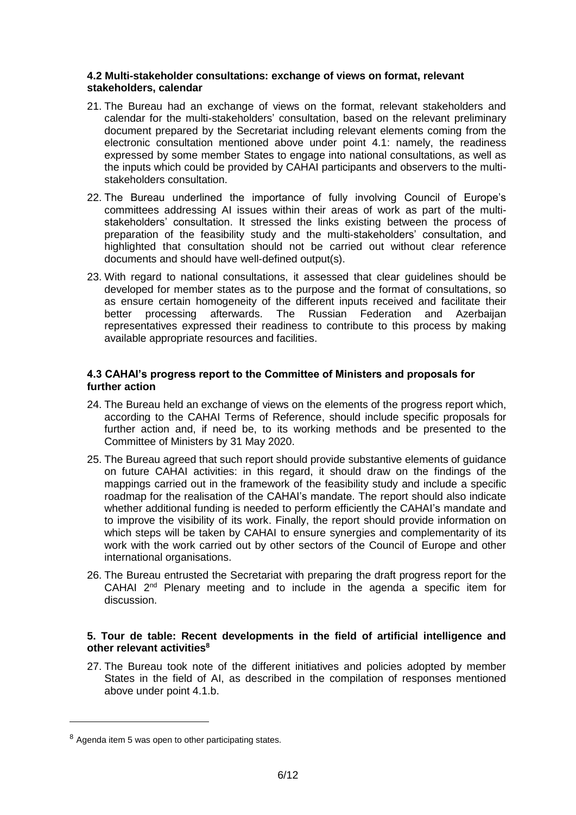### **4.2 Multi-stakeholder consultations: exchange of views on format, relevant stakeholders, calendar**

- 21. The Bureau had an exchange of views on the format, relevant stakeholders and calendar for the multi-stakeholders' consultation, based on the relevant preliminary document prepared by the Secretariat including relevant elements coming from the electronic consultation mentioned above under point 4.1: namely, the readiness expressed by some member States to engage into national consultations, as well as the inputs which could be provided by CAHAI participants and observers to the multistakeholders consultation.
- 22. The Bureau underlined the importance of fully involving Council of Europe's committees addressing AI issues within their areas of work as part of the multistakeholders' consultation. It stressed the links existing between the process of preparation of the feasibility study and the multi-stakeholders' consultation, and highlighted that consultation should not be carried out without clear reference documents and should have well-defined output(s).
- 23. With regard to national consultations, it assessed that clear guidelines should be developed for member states as to the purpose and the format of consultations, so as ensure certain homogeneity of the different inputs received and facilitate their better processing afterwards. The Russian Federation and Azerbaijan representatives expressed their readiness to contribute to this process by making available appropriate resources and facilities.

### **4.3 CAHAI's progress report to the Committee of Ministers and proposals for further action**

- 24. The Bureau held an exchange of views on the elements of the progress report which, according to the CAHAI Terms of Reference, should include specific proposals for further action and, if need be, to its working methods and be presented to the Committee of Ministers by 31 May 2020.
- 25. The Bureau agreed that such report should provide substantive elements of guidance on future CAHAI activities: in this regard, it should draw on the findings of the mappings carried out in the framework of the feasibility study and include a specific roadmap for the realisation of the CAHAI's mandate. The report should also indicate whether additional funding is needed to perform efficiently the CAHAI's mandate and to improve the visibility of its work. Finally, the report should provide information on which steps will be taken by CAHAI to ensure synergies and complementarity of its work with the work carried out by other sectors of the Council of Europe and other international organisations.
- 26. The Bureau entrusted the Secretariat with preparing the draft progress report for the CAHAI  $2^{nd}$  Plenary meeting and to include in the agenda a specific item for discussion.

### **5. Tour de table: Recent developments in the field of artificial intelligence and other relevant activities<sup>8</sup>**

27. The Bureau took note of the different initiatives and policies adopted by member States in the field of AI, as described in the compilation of responses mentioned above under point 4.1.b.

<sup>&</sup>lt;sup>8</sup> Agenda item 5 was open to other participating states.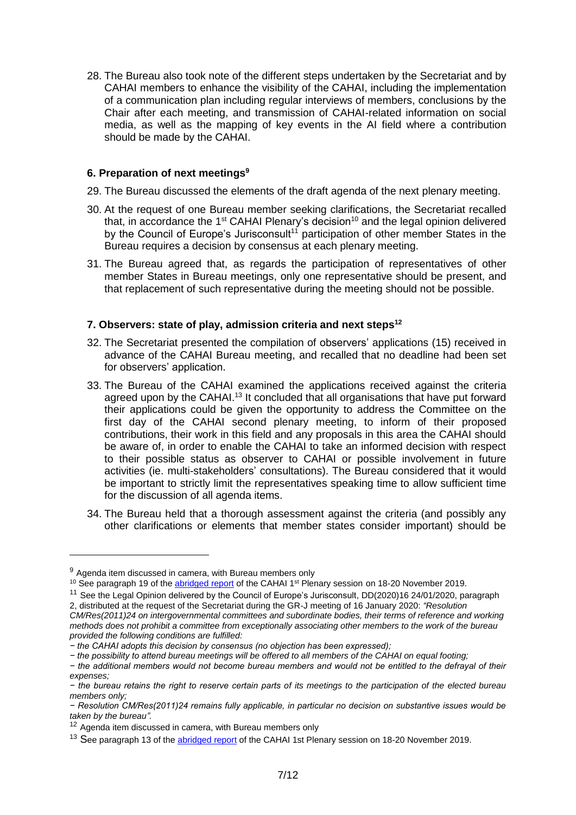28. The Bureau also took note of the different steps undertaken by the Secretariat and by CAHAI members to enhance the visibility of the CAHAI, including the implementation of a communication plan including regular interviews of members, conclusions by the Chair after each meeting, and transmission of CAHAI-related information on social media, as well as the mapping of key events in the AI field where a contribution should be made by the CAHAI.

### **6. Preparation of next meetings<sup>9</sup>**

- 29. The Bureau discussed the elements of the draft agenda of the next plenary meeting.
- 30. At the request of one Bureau member seeking clarifications, the Secretariat recalled that, in accordance the  $1<sup>st</sup>$  CAHAI Plenary's decision<sup>10</sup> and the legal opinion delivered by the Council of Europe's Jurisconsult<sup>11</sup> participation of other member States in the Bureau requires a decision by consensus at each plenary meeting.
- 31. The Bureau agreed that, as regards the participation of representatives of other member States in Bureau meetings, only one representative should be present, and that replacement of such representative during the meeting should not be possible.

### **7. Observers: state of play, admission criteria and next steps<sup>12</sup>**

- 32. The Secretariat presented the compilation of observers' applications (15) received in advance of the CAHAI Bureau meeting, and recalled that no deadline had been set for observers' application.
- 33. The Bureau of the CAHAI examined the applications received against the criteria agreed upon by the CAHAI.<sup>13</sup> It concluded that all organisations that have put forward their applications could be given the opportunity to address the Committee on the first day of the CAHAI second plenary meeting, to inform of their proposed contributions, their work in this field and any proposals in this area the CAHAI should be aware of, in order to enable the CAHAI to take an informed decision with respect to their possible status as observer to CAHAI or possible involvement in future activities (ie. multi-stakeholders' consultations). The Bureau considered that it would be important to strictly limit the representatives speaking time to allow sufficient time for the discussion of all agenda items.
- 34. The Bureau held that a thorough assessment against the criteria (and possibly any other clarifications or elements that member states consider important) should be

<sup>&</sup>lt;sup>9</sup> Agenda item discussed in camera, with Bureau members only

<sup>&</sup>lt;sup>10</sup> See paragraph 19 of th[e abridged report](https://rm.coe.int/cahai-2019-07-abridged-report-1st-plenary-meeeting-eng/168099029b) of the CAHAI 1<sup>st</sup> Plenary session on 18-20 November 2019.

<sup>&</sup>lt;sup>11</sup> See the Legal Opinion delivered by the Council of Europe's Jurisconsult, DD(2020)16 24/01/2020, paragraph 2, distributed at the request of the Secretariat during the GR-J meeting of 16 January 2020: *"Resolution CM/Res(2011)24 on intergovernmental committees and subordinate bodies, their terms of reference and working* 

*methods does not prohibit a committee from exceptionally associating other members to the work of the bureau provided the following conditions are fulfilled:*

*<sup>−</sup> the CAHAI adopts this decision by consensus (no objection has been expressed);*

*<sup>−</sup> the possibility to attend bureau meetings will be offered to all members of the CAHAI on equal footing;*

*<sup>−</sup> the additional members would not become bureau members and would not be entitled to the defrayal of their expenses;*

*<sup>−</sup> the bureau retains the right to reserve certain parts of its meetings to the participation of the elected bureau members only;*

*<sup>−</sup> Resolution CM/Res(2011)24 remains fully applicable, in particular no decision on substantive issues would be taken by the bureau".*

<sup>&</sup>lt;sup>12</sup> Agenda item discussed in camera, with Bureau members only

<sup>&</sup>lt;sup>13</sup> See paragraph 13 of the [abridged report](https://rm.coe.int/cahai-2019-07-abridged-report-1st-plenary-meeeting-eng/168099029b) of the CAHAI 1st Plenary session on 18-20 November 2019.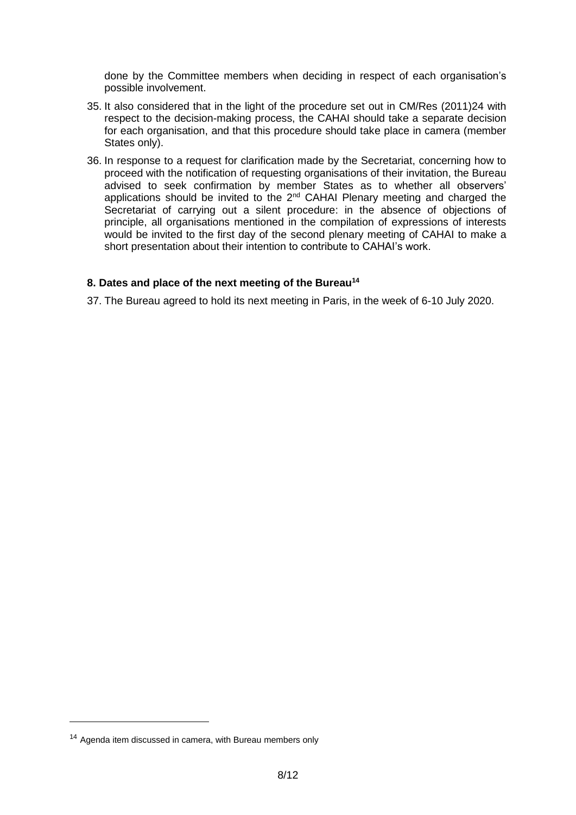done by the Committee members when deciding in respect of each organisation's possible involvement.

- 35. It also considered that in the light of the procedure set out in CM/Res (2011)24 with respect to the decision-making process, the CAHAI should take a separate decision for each organisation, and that this procedure should take place in camera (member States only).
- 36. In response to a request for clarification made by the Secretariat, concerning how to proceed with the notification of requesting organisations of their invitation, the Bureau advised to seek confirmation by member States as to whether all observers' applications should be invited to the 2<sup>nd</sup> CAHAI Plenary meeting and charged the Secretariat of carrying out a silent procedure: in the absence of objections of principle, all organisations mentioned in the compilation of expressions of interests would be invited to the first day of the second plenary meeting of CAHAI to make a short presentation about their intention to contribute to CAHAI's work.

### **8. Dates and place of the next meeting of the Bureau<sup>14</sup>**

37. The Bureau agreed to hold its next meeting in Paris, in the week of 6-10 July 2020.

<sup>&</sup>lt;sup>14</sup> Agenda item discussed in camera, with Bureau members only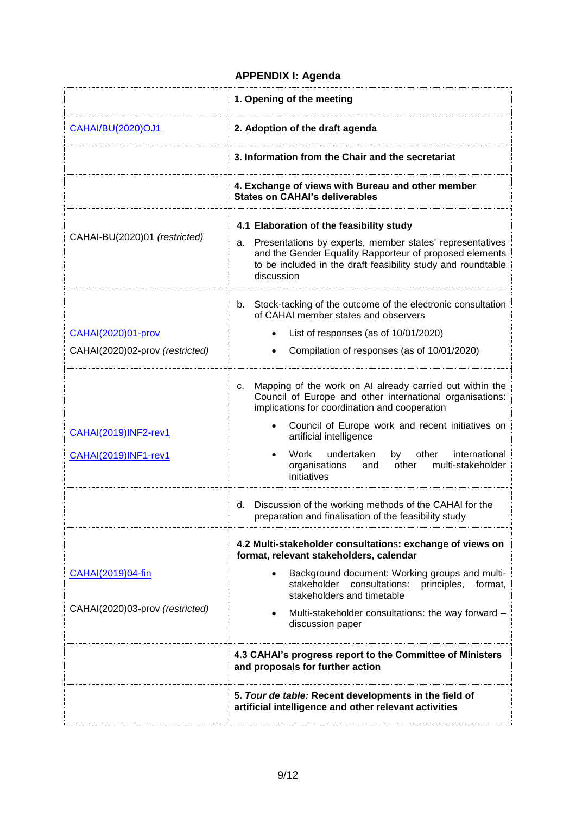### **APPENDIX I: Agenda**

|                                                     | 1. Opening of the meeting                                                                                                                                                                                                                                                                                                                                                                 |  |  |
|-----------------------------------------------------|-------------------------------------------------------------------------------------------------------------------------------------------------------------------------------------------------------------------------------------------------------------------------------------------------------------------------------------------------------------------------------------------|--|--|
| <b>CAHAI/BU(2020)OJ1</b>                            | 2. Adoption of the draft agenda                                                                                                                                                                                                                                                                                                                                                           |  |  |
|                                                     | 3. Information from the Chair and the secretariat                                                                                                                                                                                                                                                                                                                                         |  |  |
|                                                     | 4. Exchange of views with Bureau and other member<br><b>States on CAHAI's deliverables</b>                                                                                                                                                                                                                                                                                                |  |  |
| CAHAI-BU(2020)01 (restricted)                       | 4.1 Elaboration of the feasibility study<br>Presentations by experts, member states' representatives<br>а.<br>and the Gender Equality Rapporteur of proposed elements<br>to be included in the draft feasibility study and roundtable<br>discussion                                                                                                                                       |  |  |
|                                                     | b. Stock-tacking of the outcome of the electronic consultation<br>of CAHAI member states and observers                                                                                                                                                                                                                                                                                    |  |  |
| CAHAI(2020)01-prov                                  | List of responses (as of $10/01/2020$ )                                                                                                                                                                                                                                                                                                                                                   |  |  |
| CAHAI(2020)02-prov (restricted)                     | Compilation of responses (as of 10/01/2020)                                                                                                                                                                                                                                                                                                                                               |  |  |
| <b>CAHAI(2019)INF2-rev1</b><br>CAHAI(2019)INF1-rev1 | Mapping of the work on AI already carried out within the<br>С.<br>Council of Europe and other international organisations:<br>implications for coordination and cooperation<br>Council of Europe work and recent initiatives on<br>artificial intelligence<br>Work<br>undertaken<br>by other<br>international<br>$\bullet$<br>organisations<br>and other multi-stakeholder<br>initiatives |  |  |
|                                                     | Discussion of the working methods of the CAHAI for the<br>d.<br>preparation and finalisation of the feasibility study                                                                                                                                                                                                                                                                     |  |  |
|                                                     | 4.2 Multi-stakeholder consultations: exchange of views on<br>format, relevant stakeholders, calendar                                                                                                                                                                                                                                                                                      |  |  |
| CAHAI(2019)04-fin                                   | Background document: Working groups and multi-<br>stakeholder consultations: principles, format,<br>stakeholders and timetable                                                                                                                                                                                                                                                            |  |  |
| CAHAI(2020)03-prov (restricted)                     | Multi-stakeholder consultations: the way forward -<br>$\bullet$<br>discussion paper                                                                                                                                                                                                                                                                                                       |  |  |
|                                                     | 4.3 CAHAI's progress report to the Committee of Ministers<br>and proposals for further action                                                                                                                                                                                                                                                                                             |  |  |
|                                                     | 5. Tour de table: Recent developments in the field of<br>artificial intelligence and other relevant activities                                                                                                                                                                                                                                                                            |  |  |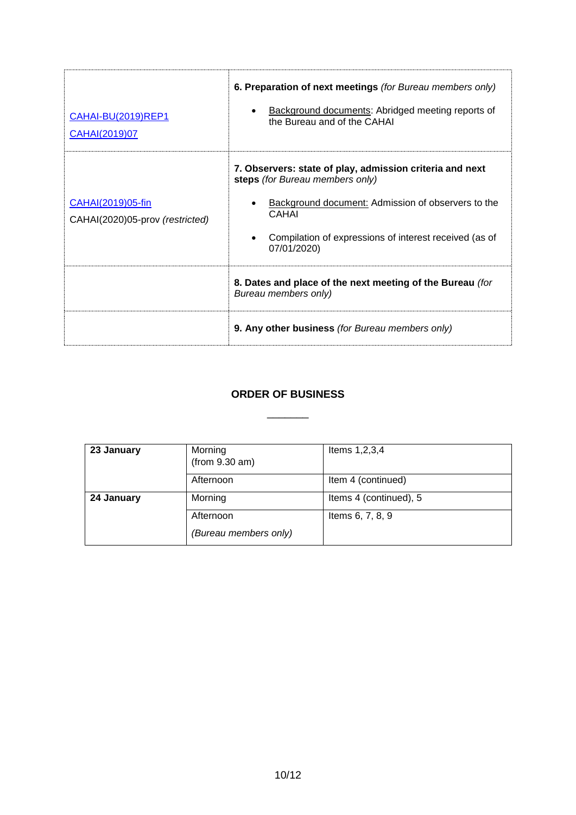| CAHAI-BU(2019)REP1<br>CAHAI(2019)07                  | 6. Preparation of next meetings (for Bureau members only)<br>Background documents: Abridged meeting reports of<br>the Bureau and of the CAHAI                                                                                       |  |
|------------------------------------------------------|-------------------------------------------------------------------------------------------------------------------------------------------------------------------------------------------------------------------------------------|--|
| CAHAI(2019)05-fin<br>CAHAI(2020)05-prov (restricted) | 7. Observers: state of play, admission criteria and next<br>steps (for Bureau members only)<br>Background document: Admission of observers to the<br>CAHAI<br>Compilation of expressions of interest received (as of<br>07/01/2020) |  |
|                                                      | 8. Dates and place of the next meeting of the Bureau (for<br>Bureau members only)                                                                                                                                                   |  |
|                                                      | 9. Any other business (for Bureau members only)                                                                                                                                                                                     |  |

### **ORDER OF BUSINESS**

\_\_\_\_\_\_\_

| 23 January | Morning<br>(from 9.30 am) | Items 1, 2, 3, 4       |
|------------|---------------------------|------------------------|
|            | Afternoon                 | Item 4 (continued)     |
| 24 January | Morning                   | Items 4 (continued), 5 |
|            | Afternoon                 | Items 6, 7, 8, 9       |
|            | (Bureau members only)     |                        |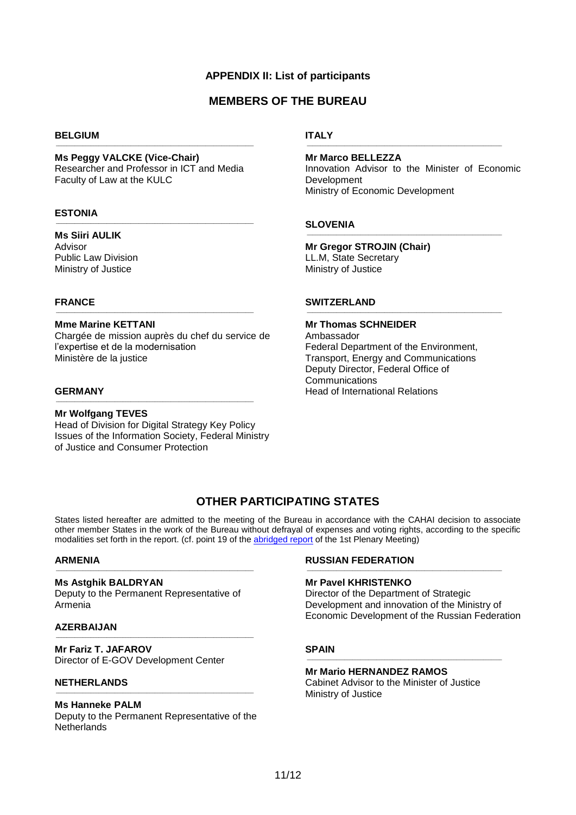### **APPENDIX II: List of participants**

### **MEMBERS OF THE BUREAU**

#### **BELGIUM**

#### **Ms Peggy VALCKE (Vice-Chair)**

Researcher and Professor in ICT and Media Faculty of Law at the KULC

\_\_\_\_\_\_\_\_\_\_\_\_\_\_\_\_\_\_\_\_\_\_\_\_\_\_\_\_\_\_\_\_\_\_\_\_\_\_\_\_\_\_\_\_\_\_\_\_\_\_\_\_\_\_\_\_\_\_\_\_\_\_\_\_\_\_\_\_\_\_\_\_\_\_

 $\_$  , and the set of the set of the set of the set of the set of the set of the set of the set of the set of the set of the set of the set of the set of the set of the set of the set of the set of the set of the set of th

#### **ESTONIA**

#### **Ms Siiri AULIK**

Advisor Public Law Division Ministry of Justice

### **FRANCE**

#### **Mme Marine KETTANI**

Chargée de mission auprès du chef du service de l'expertise et de la modernisation Ministère de la justice

\_\_\_\_\_\_\_\_\_\_\_\_\_\_\_\_\_\_\_\_\_\_\_\_\_\_\_\_\_\_\_\_\_\_\_\_\_\_\_\_\_\_\_\_\_\_\_\_\_\_\_\_\_\_\_\_\_\_\_\_\_\_\_\_\_\_\_\_\_\_\_\_\_\_

#### **GERMANY**

**Mr Wolfgang TEVES** Head of Division for Digital Strategy Key Policy Issues of the Information Society, Federal Ministry of Justice and Consumer Protection

\_\_\_\_\_\_\_\_\_\_\_\_\_\_\_\_\_\_\_\_\_\_\_\_\_\_\_\_\_\_\_\_\_\_\_\_\_\_\_\_\_\_\_\_\_\_\_\_\_\_\_\_\_\_\_\_\_\_\_\_\_\_\_\_\_\_\_\_\_\_\_\_\_\_

#### **ITALY**  $\_$  , and the set of the set of the set of the set of the set of the set of the set of the set of the set of the set of the set of the set of the set of the set of the set of the set of the set of the set of the set of th

**Mr Marco BELLEZZA** Innovation Advisor to the Minister of Economic Development Ministry of Economic Development

 $\_$  , and the set of the set of the set of the set of the set of the set of the set of the set of the set of the set of the set of the set of the set of the set of the set of the set of the set of the set of the set of th

 $\_$  , and the set of the set of the set of the set of the set of the set of the set of the set of the set of the set of the set of the set of the set of the set of the set of the set of the set of the set of the set of th

#### **SLOVENIA**

**Mr Gregor STROJIN (Chair)**  LL.M, State Secretary Ministry of Justice

#### **SWITZERLAND**

### **Mr Thomas SCHNEIDER**

Ambassador Federal Department of the Environment, Transport, Energy and Communications Deputy Director, Federal Office of **Communications** Head of International Relations

### **OTHER PARTICIPATING STATES**

States listed hereafter are admitted to the meeting of the Bureau in accordance with the CAHAI decision to associate other member States in the work of the Bureau without defrayal of expenses and voting rights, according to the specific modalities set forth in the report. (cf. point 19 of the [abridged report](https://rm.coe.int/cahai-2019-07-abridged-report-1st-plenary-meeeting-eng/168099029b) of the 1st Plenary Meeting)

#### **ARMENIA**

#### **Ms Astghik BALDRYAN**

Deputy to the Permanent Representative of Armenia

\_\_\_\_\_\_\_\_\_\_\_\_\_\_\_\_\_\_\_\_\_\_\_\_\_\_\_\_\_\_\_\_\_\_\_\_\_\_\_\_\_\_\_\_\_\_\_\_\_\_\_\_\_\_\_\_\_\_\_\_\_\_\_\_\_\_\_\_\_\_\_\_\_\_

 $\_$  , and the set of the set of the set of the set of the set of the set of the set of the set of the set of the set of the set of the set of the set of the set of the set of the set of the set of the set of the set of th

#### **AZERBAIJAN**

**Mr Fariz T. JAFAROV** Director of E-GOV Development Center

### **NETHERLANDS**

### **Ms Hanneke PALM**

Deputy to the Permanent Representative of the **Netherlands** 

 $\_$  , and the set of the set of the set of the set of the set of the set of the set of the set of the set of the set of the set of the set of the set of the set of the set of the set of the set of the set of the set of th

#### **RUSSIAN FEDERATION**

#### **Mr Pavel KHRISTENKO**

Director of the Department of Strategic Development and innovation of the Ministry of Economic Development of the Russian Federation

 $\_$  , and the set of the set of the set of the set of the set of the set of the set of the set of the set of the set of the set of the set of the set of the set of the set of the set of the set of the set of the set of th

#### **SPAIN**

#### **Mr Mario HERNANDEZ RAMOS**

Cabinet Advisor to the Minister of Justice Ministry of Justice

 $\_$  , and the set of the set of the set of the set of the set of the set of the set of the set of the set of the set of the set of the set of the set of the set of the set of the set of the set of the set of the set of th